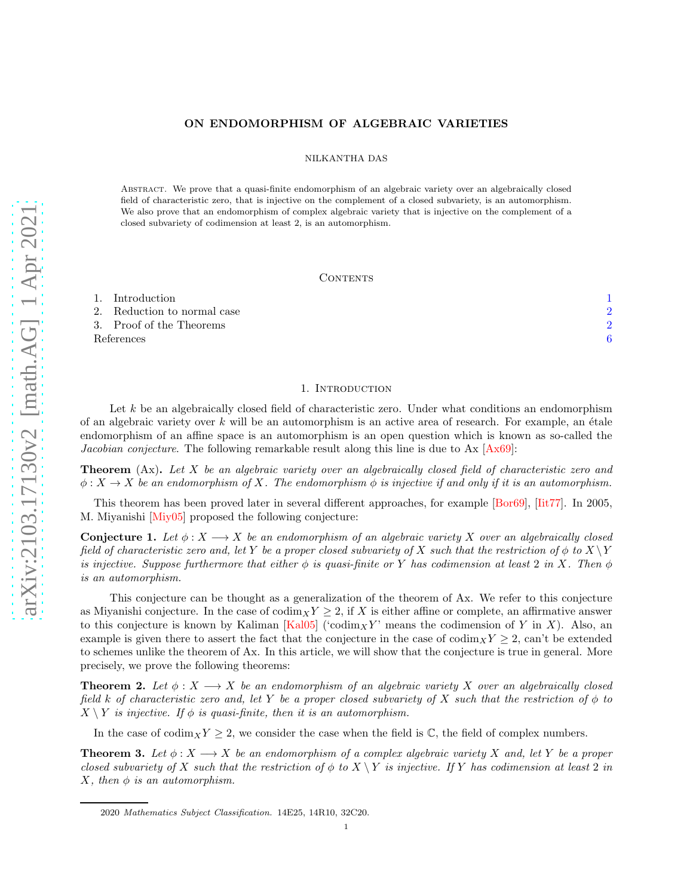## ON ENDOMORPHISM OF ALGEBRAIC VARIETIES

NILKANTHA DAS

Abstract. We prove that a quasi-finite endomorphism of an algebraic variety over an algebraically closed field of characteristic zero, that is injective on the complement of a closed subvariety, is an automorphism. We also prove that an endomorphism of complex algebraic variety that is injective on the complement of a closed subvariety of codimension at least 2, is an automorphism.

### CONTENTS

| 1. Introduction             |  |
|-----------------------------|--|
| 2. Reduction to normal case |  |
| 3. Proof of the Theorems    |  |
| References                  |  |

#### 1. INTRODUCTION

<span id="page-0-0"></span>Let k be an algebraically closed field of characteristic zero. Under what conditions an endomorphism of an algebraic variety over  $k$  will be an automorphism is an active area of research. For example, an étale endomorphism of an affine space is an automorphism is an open question which is known as so-called the *Jacobian conjecture*. The following remarkable result along this line is due to Ax [\[Ax69\]](#page-5-1):

Theorem (Ax). *Let* X *be an algebraic variety over an algebraically closed field of characteristic zero and*  $\phi: X \to X$  *be an endomorphism of* X. The endomorphism  $\phi$  *is injective if and only if it is an automorphism.* 

<span id="page-0-2"></span>This theorem has been proved later in several different approaches, for example [\[Bor69\]](#page-5-2), [\[Iit77\]](#page-5-3). In 2005, M. Miyanishi [\[Miy05\]](#page-5-4) proposed the following conjecture:

**Conjecture 1.** Let  $\phi: X \longrightarrow X$  be an endomorphism of an algebraic variety X over an algebraically closed *field of characteristic zero and, let* Y *be a proper closed subvariety of* X *such that the restriction of*  $\phi$  *to*  $X \ Y$ *is injective. Suppose furthermore that either*  $\phi$  *is quasi-finite or* Y *has codimension at least* 2 *in* X. Then  $\phi$ *is an automorphism.*

This conjecture can be thought as a generalization of the theorem of Ax. We refer to this conjecture as Miyanishi conjecture. In the case of  $\operatorname{codim}_X Y \geq 2$ , if X is either affine or complete, an affirmative answer to this conjecture is known by Kaliman [\[Kal05\]](#page-5-5) ('codim<sub>X</sub>Y' means the codimension of Y in X). Also, an example is given there to assert the fact that the conjecture in the case of  $\text{codim}_XY \geq 2$ , can't be extended to schemes unlike the theorem of Ax. In this article, we will show that the conjecture is true in general. More precisely, we prove the following theorems:

<span id="page-0-3"></span>**Theorem 2.** Let  $\phi: X \longrightarrow X$  be an endomorphism of an algebraic variety X over an algebraically closed *field* k *of characteristic zero and, let* Y *be a proper closed subvariety of* X *such that the restriction of* φ *to*  $X \setminus Y$  *is injective.* If  $\phi$  *is quasi-finite, then it is an automorphism.* 

<span id="page-0-1"></span>In the case of  $\text{codim}_XY \geq 2$ , we consider the case when the field is C, the field of complex numbers.

**Theorem 3.** Let  $\phi: X \longrightarrow X$  be an endomorphism of a complex algebraic variety X and, let Y be a proper *closed subvariety of* X *such that the restriction of*  $\phi$  *to*  $X \ Y$  *is injective. If* Y *has codimension at least* 2 *in*  $X$ *, then*  $\phi$  *is an automorphism.* 

<sup>2020</sup> Mathematics Subject Classification. 14E25, 14R10, 32C20.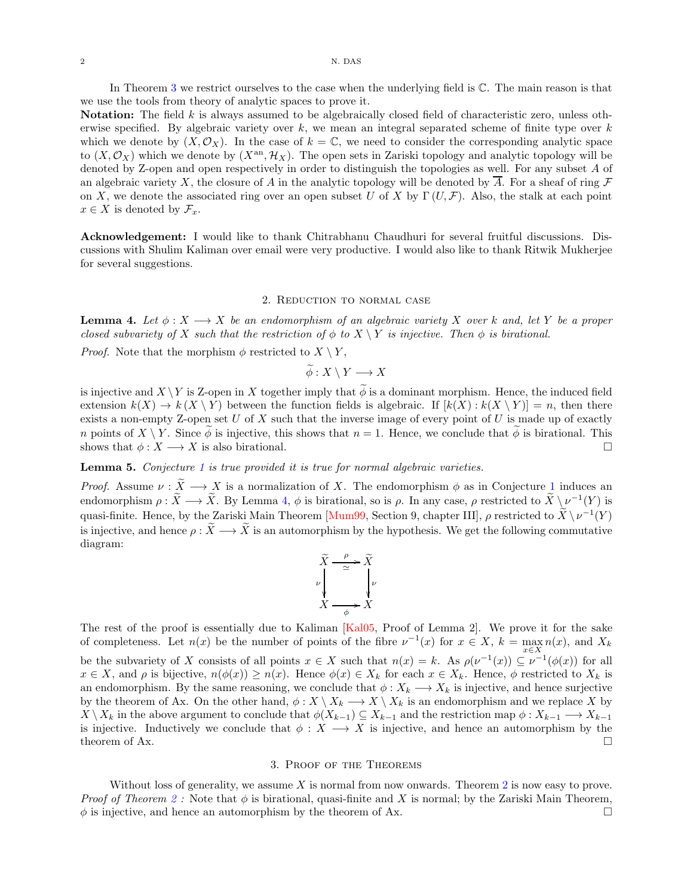In Theorem [3](#page-0-1) we restrict ourselves to the case when the underlying field is C. The main reason is that we use the tools from theory of analytic spaces to prove it.

Notation: The field k is always assumed to be algebraically closed field of characteristic zero, unless otherwise specified. By algebraic variety over  $k$ , we mean an integral separated scheme of finite type over  $k$ which we denote by  $(X, \mathcal{O}_X)$ . In the case of  $k = \mathbb{C}$ , we need to consider the corresponding analytic space to  $(X,\mathcal{O}_X)$  which we denote by  $(X^{\text{an}},\mathcal{H}_X)$ . The open sets in Zariski topology and analytic topology will be denoted by Z-open and open respectively in order to distinguish the topologies as well. For any subset A of an algebraic variety X, the closure of A in the analytic topology will be denoted by  $\overline{A}$ . For a sheaf of ring  $\mathcal F$ on X, we denote the associated ring over an open subset U of X by  $\Gamma(U, \mathcal{F})$ . Also, the stalk at each point  $x \in X$  is denoted by  $\mathcal{F}_x$ .

Acknowledgement: I would like to thank Chitrabhanu Chaudhuri for several fruitful discussions. Discussions with Shulim Kaliman over email were very productive. I would also like to thank Ritwik Mukherjee for several suggestions.

#### 2. Reduction to normal case

<span id="page-1-2"></span><span id="page-1-0"></span>**Lemma 4.** Let  $\phi: X \longrightarrow X$  be an endomorphism of an algebraic variety X over k and, let Y be a proper *closed subvariety of* X *such that the restriction of*  $\phi$  *to*  $X \setminus Y$  *is injective. Then*  $\phi$  *is birational.* 

*Proof.* Note that the morphism  $\phi$  restricted to  $X \setminus Y$ ,

 $\widetilde{\phi}: X \setminus Y \longrightarrow X$ 

is injective and  $X \setminus Y$  is Z-open in X together imply that  $\phi$  is a dominant morphism. Hence, the induced field extension  $k(X) \to k(X \setminus Y)$  between the function fields is algebraic. If  $[k(X) : k(X \setminus Y)] = n$ , then there exists a non-empty Z-open set  $U$  of  $X$  such that the inverse image of every point of  $U$  is made up of exactly n points of  $X \setminus Y$ . Since  $\phi$  is injective, this shows that  $n = 1$ . Hence, we conclude that  $\phi$  is birational. This shows that  $\phi: X \longrightarrow X$  is also birational.

Lemma 5. *Conjecture [1](#page-0-2) is true provided it is true for normal algebraic varieties.*

*Proof.* Assume  $\nu : \widetilde{X} \longrightarrow X$  is a normalization of X. The endomorphism  $\phi$  as in Conjecture [1](#page-0-2) induces an endomorphism  $\rho : \tilde{X} \longrightarrow \tilde{X}$ . By Lemma [4,](#page-1-2)  $\phi$  is birational, so is  $\rho$ . In any case,  $\rho$  restricted to  $\tilde{X} \setminus \nu^{-1}(Y)$  is quasi-finite. Hence, by the Zariski Main Theorem [\[Mum99,](#page-5-6) Section 9, chapter III],  $\rho$  restricted to  $\tilde{X} \setminus \nu^{-1}(Y)$ is injective, and hence  $\rho : \tilde{X} \longrightarrow \tilde{X}$  is an automorphism by the hypothesis. We get the following commutative diagram:

$$
\tilde{X} \xrightarrow{\rho} \tilde{X}
$$
\n
$$
\nu \downarrow \qquad \qquad \nu \downarrow \qquad \nu
$$
\n
$$
X \xrightarrow{\rho} X
$$

The rest of the proof is essentially due to Kaliman [\[Kal05,](#page-5-5) Proof of Lemma 2]. We prove it for the sake of completeness. Let  $n(x)$  be the number of points of the fibre  $\nu^{-1}(x)$  for  $x \in X$ ,  $k = \max_{x \in X} n(x)$ , and  $X_k$ x∈X be the subvariety of X consists of all points  $x \in X$  such that  $n(x) = k$ . As  $\rho(\nu^{-1}(x)) \subseteq \nu^{-1}(\phi(x))$  for all  $x \in X$ , and  $\rho$  is bijective,  $n(\phi(x)) \geq n(x)$ . Hence  $\phi(x) \in X_k$  for each  $x \in X_k$ . Hence,  $\phi$  restricted to  $X_k$  is an endomorphism. By the same reasoning, we conclude that  $\phi: X_k \longrightarrow X_k$  is injective, and hence surjective by the theorem of Ax. On the other hand,  $\phi: X \setminus X_k \longrightarrow X \setminus X_k$  is an endomorphism and we replace X by  $X \setminus X_k$  in the above argument to conclude that  $\phi(X_{k-1}) \subseteq X_{k-1}$  and the restriction map  $\phi: X_{k-1} \longrightarrow X_{k-1}$ is injective. Inductively we conclude that  $\phi: X \longrightarrow X$  is injective, and hence an automorphism by the theorem of Ax.  $\Box$ 

# 3. Proof of the Theorems

<span id="page-1-1"></span>Without loss of generality, we assume  $X$  is normal from now onwards. Theorem [2](#page-0-3) is now easy to prove. *Proof of Theorem* [2](#page-0-3): Note that  $\phi$  is birational, quasi-finite and X is normal; by the Zariski Main Theorem,  $\phi$  is injective, and hence an automorphism by the theorem of Ax.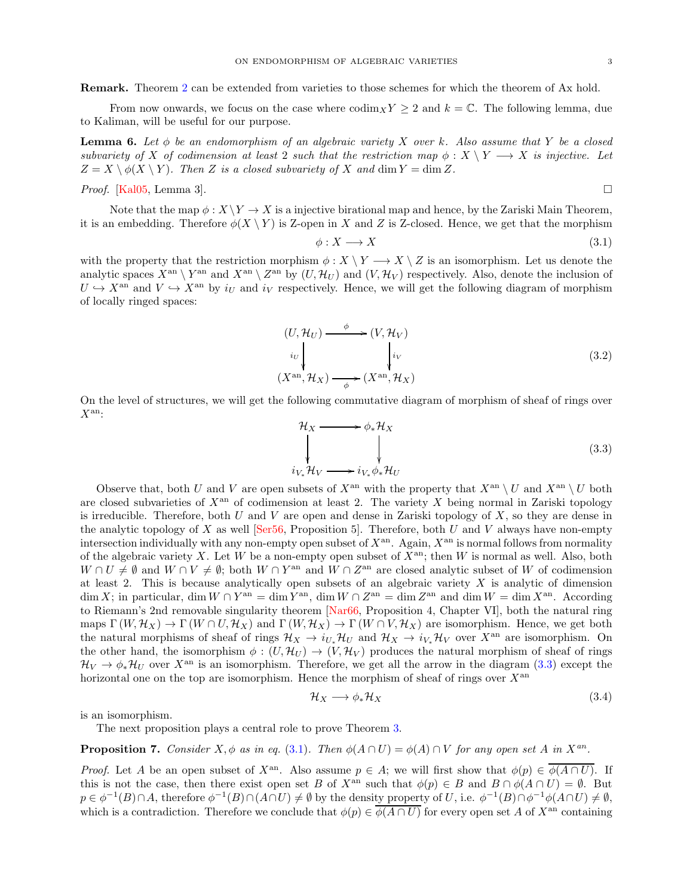From now onwards, we focus on the case where  $\operatorname{codim}_X Y \ge 2$  and  $k = \mathbb{C}$ . The following lemma, due to Kaliman, will be useful for our purpose.

**Lemma 6.** Let  $\phi$  be an endomorphism of an algebraic variety X over k. Also assume that Y be a closed *subvariety of* X *of codimension at least* 2 *such that the restriction map*  $\phi: X \ Y \longrightarrow X$  *is injective.* Let  $Z = X \setminus \phi(X \setminus Y)$ *. Then* Z *is a closed subvariety of* X and dim  $Y = \dim Z$ *.* 

*Proof.* [\[Kal05,](#page-5-5) Lemma 3].

<span id="page-2-1"></span>

Note that the map  $\phi: X \backslash Y \to X$  is a injective birational map and hence, by the Zariski Main Theorem, it is an embedding. Therefore  $\phi(X \ Y)$  is Z-open in X and Z is Z-closed. Hence, we get that the morphism

$$
\phi: X \longrightarrow X \tag{3.1}
$$

with the property that the restriction morphism  $\phi: X \setminus Y \longrightarrow X \setminus Z$  is an isomorphism. Let us denote the analytic spaces  $X^{\text{an}} \setminus Y^{\text{an}}$  and  $X^{\text{an}} \setminus Z^{\text{an}}$  by  $(U, \mathcal{H}_U)$  and  $(V, \mathcal{H}_V)$  respectively. Also, denote the inclusion of  $U \hookrightarrow X^{\text{an}}$  and  $V \hookrightarrow X^{\text{an}}$  by  $i_U$  and  $i_V$  respectively. Hence, we will get the following diagram of morphism of locally ringed spaces:

$$
(U, \mathcal{H}_U) \xrightarrow{\phi} (V, \mathcal{H}_V)
$$
  
\n
$$
i_U \downarrow \qquad \qquad i_V
$$
  
\n
$$
(X^{\text{an}}, \mathcal{H}_X) \xrightarrow{\phi} (X^{\text{an}}, \mathcal{H}_X)
$$
\n(3.2)

On the level of structures, we will get the following commutative diagram of morphism of sheaf of rings over  $X^{\text{an}}$ :

<span id="page-2-0"></span>
$$
\mathcal{H}_X \longrightarrow \phi_* \mathcal{H}_X
$$
\n
$$
\downarrow \qquad \qquad \downarrow
$$
\n
$$
i_{V_*} \mathcal{H}_V \longrightarrow i_{V_*} \phi_* \mathcal{H}_U
$$
\n(3.3)

Observe that, both U and V are open subsets of  $X^{\text{an}}$  with the property that  $X^{\text{an}} \setminus U$  and  $X^{\text{an}} \setminus U$  both are closed subvarieties of  $X<sup>an</sup>$  of codimension at least 2. The variety X being normal in Zariski topology is irreducible. Therefore, both U and V are open and dense in Zariski topology of  $X$ , so they are dense in the analytic topology of X as well [\[Ser56,](#page-5-7) Proposition 5]. Therefore, both U and V always have non-empty intersection individually with any non-empty open subset of  $X^{an}$ . Again,  $X^{an}$  is normal follows from normality of the algebraic variety X. Let W be a non-empty open subset of  $\bar{X}^{\text{an}}$ ; then W is normal as well. Also, both  $W \cap U \neq \emptyset$  and  $W \cap V \neq \emptyset$ ; both  $W \cap Y^{\text{an}}$  and  $W \cap Z^{\text{an}}$  are closed analytic subset of W of codimension at least 2. This is because analytically open subsets of an algebraic variety  $X$  is analytic of dimension  $\dim X$ ; in particular,  $\dim W \cap Y^{\text{an}} = \dim Y^{\text{an}}$ ,  $\dim W \cap Z^{\text{an}} = \dim Z^{\text{an}}$  and  $\dim W = \dim X^{\text{an}}$ . According to Riemann's 2nd removable singularity theorem [\[Nar66,](#page-5-8) Proposition 4, Chapter VI], both the natural ring maps  $\Gamma(W, \mathcal{H}_X) \to \Gamma(W \cap U, \mathcal{H}_X)$  and  $\Gamma(W, \mathcal{H}_X) \to \Gamma(W \cap V, \mathcal{H}_X)$  are isomorphism. Hence, we get both the natural morphisms of sheaf of rings  $\mathcal{H}_X \to i_{U*}\mathcal{H}_U$  and  $\mathcal{H}_X \to i_{V*}\mathcal{H}_V$  over  $X^{\text{an}}$  are isomorphism. On the other hand, the isomorphism  $\phi : (U, \mathcal{H}_U) \to (V, \mathcal{H}_V)$  produces the natural morphism of sheaf of rings  $\mathcal{H}_V \to \phi_* \mathcal{H}_U$  over  $X^{\text{an}}$  is an isomorphism. Therefore, we get all the arrow in the diagram [\(3.3\)](#page-2-0) except the horizontal one on the top are isomorphism. Hence the morphism of sheaf of rings over  $X^{\text{an}}$ 

$$
\mathcal{H}_X \longrightarrow \phi_* \mathcal{H}_X \tag{3.4}
$$

is an isomorphism.

<span id="page-2-2"></span>The next proposition plays a central role to prove Theorem [3.](#page-0-1)

**Proposition 7.** *Consider*  $X, \phi$  *as in eq.* [\(3.1\)](#page-2-1)*. Then*  $\phi(A \cap U) = \phi(A) \cap V$  *for any open set* A *in*  $X^{an}$ *.* 

*Proof.* Let A be an open subset of  $X^{\text{an}}$ . Also assume  $p \in A$ ; we will first show that  $\phi(p) \in \overline{\phi(A \cap U)}$ . If this is not the case, then there exist open set B of  $X^{\text{an}}$  such that  $\phi(p) \in B$  and  $B \cap \phi(A \cap U) = \emptyset$ . But  $p \in \phi^{-1}(B) \cap A$ , therefore  $\phi^{-1}(B) \cap (A \cap U) \neq \emptyset$  by the density property of U, i.e.  $\phi^{-1}(B) \cap \phi^{-1}\phi(A \cap U) \neq \emptyset$ , which is a contradiction. Therefore we conclude that  $\phi(p) \in \overline{\phi(A \cap U)}$  for every open set A of  $X^{an}$  containing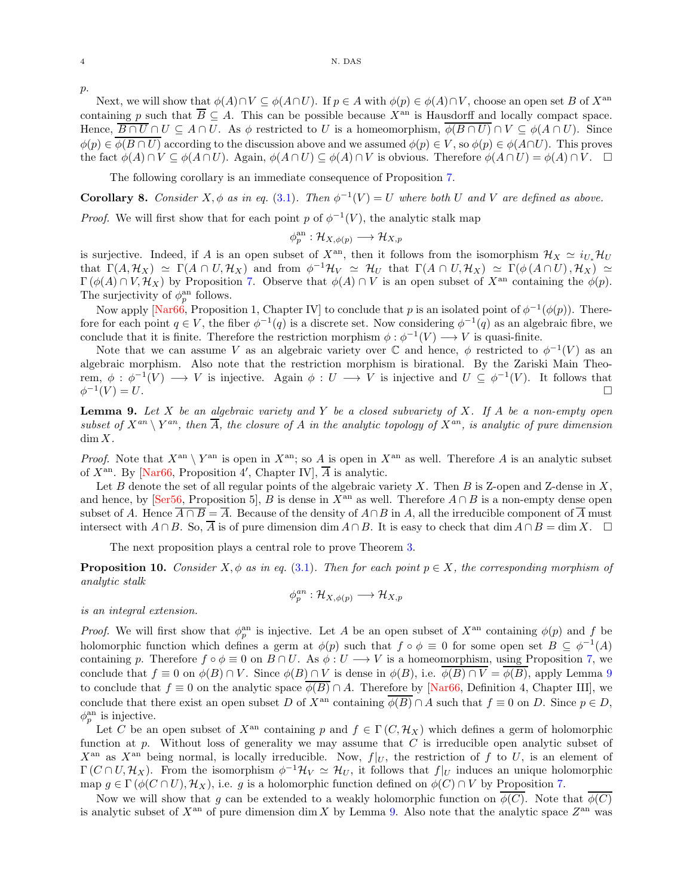#### 4 N. DAS

 $p$ .

Next, we will show that  $\phi(A) \cap V \subseteq \phi(A \cap U)$ . If  $p \in A$  with  $\phi(p) \in \phi(A) \cap V$ , choose an open set B of  $X^{\text{an}}$ containing p such that  $\overline{B} \subseteq A$ . This can be possible because  $X^{\text{an}}$  is Hausdorff and locally compact space. Hence,  $\overline{B \cap U} \cap U \subseteq A \cap U$ . As  $\phi$  restricted to U is a homeomorphism,  $\phi(B \cap U) \cap V \subseteq \phi(A \cap U)$ . Since  $\phi(p) \in \overline{\phi(B \cap U)}$  according to the discussion above and we assumed  $\phi(p) \in V$ , so  $\phi(p) \in \phi(A \cap U)$ . This proves the fact  $\phi(A) \cap V \subseteq \phi(A \cap U)$ . Again,  $\phi(A \cap U) \subseteq \phi(A) \cap V$  is obvious. Therefore  $\phi(A \cap U) = \phi(A) \cap V$ .  $\Box$ 

The following corollary is an immediate consequence of Proposition [7.](#page-2-2)

<span id="page-3-2"></span>**Corollary 8.** Consider X,  $\phi$  as in eq. [\(3.1\)](#page-2-1). Then  $\phi^{-1}(V) = U$  where both U and V are defined as above.

*Proof.* We will first show that for each point p of  $\phi^{-1}(V)$ , the analytic stalk map

$$
\phi_p^{\rm an}: \mathcal{H}_{X,\phi(p)} \longrightarrow \mathcal{H}_{X,p}
$$

is surjective. Indeed, if A is an open subset of  $X^{\text{an}}$ , then it follows from the isomorphism  $\mathcal{H}_X \simeq i_{U_*} \mathcal{H}_U$ that  $\Gamma(A, \mathcal{H}_X) \simeq \Gamma(A \cap U, \mathcal{H}_X)$  and from  $\phi^{-1}\mathcal{H}_V \simeq \mathcal{H}_U$  that  $\Gamma(A \cap U, \mathcal{H}_X) \simeq \Gamma(\phi(A \cap U), \mathcal{H}_X) \simeq$  $\Gamma(\phi(A) \cap V, \mathcal{H}_X)$  by Proposition [7.](#page-2-2) Observe that  $\phi(A) \cap V$  is an open subset of  $X^{\text{an}}$  containing the  $\phi(p)$ . The surjectivity of  $\phi_p^{\text{an}}$  follows.

Now apply [\[Nar66,](#page-5-8) Proposition 1, Chapter IV] to conclude that p is an isolated point of  $\phi^{-1}(\phi(p))$ . Therefore for each point  $q \in V$ , the fiber  $\phi^{-1}(q)$  is a discrete set. Now considering  $\phi^{-1}(q)$  as an algebraic fibre, we conclude that it is finite. Therefore the restriction morphism  $\phi : \phi^{-1}(V) \longrightarrow V$  is quasi-finite.

Note that we can assume V as an algebraic variety over  $\mathbb C$  and hence,  $\phi$  restricted to  $\phi^{-1}(V)$  as an algebraic morphism. Also note that the restriction morphism is birational. By the Zariski Main Theorem,  $\phi : \phi^{-1}(V) \longrightarrow V$  is injective. Again  $\phi : U \longrightarrow V$  is injective and  $U \subseteq \phi^{-1}(V)$ . It follows that  $\phi^{-1}$  $(V) = U.$ 

<span id="page-3-0"></span>Lemma 9. *Let* X *be an algebraic variety and* Y *be a closed subvariety of* X*. If* A *be a non-empty open*  $subset of X^{an} \ Y^{an}$ , then  $\overline{A}$ , the closure of A in the analytic topology of  $X^{an}$ , is analytic of pure dimension dim X*.*

*Proof.* Note that  $X^{\text{an}} \setminus Y^{\text{an}}$  is open in  $X^{\text{an}}$ ; so A is open in  $X^{\text{an}}$  as well. Therefore A is an analytic subset of  $X^{\text{an}}$ . By [\[Nar66,](#page-5-8) Proposition 4', Chapter IV],  $\overline{A}$  is analytic.

Let B denote the set of all regular points of the algebraic variety X. Then B is Z-open and Z-dense in  $X$ , and hence, by [\[Ser56,](#page-5-7) Proposition 5], B is dense in  $X^{\text{an}}$  as well. Therefore  $A \cap B$  is a non-empty dense open subset of A. Hence  $\overline{A \cap B} = \overline{A}$ . Because of the density of  $A \cap B$  in A, all the irreducible component of  $\overline{A}$  must intersect with  $A \cap B$ . So,  $\overline{A}$  is of pure dimension dim  $A \cap B$ . It is easy to check that dim  $A \cap B = \dim X$ .  $\Box$ 

The next proposition plays a central role to prove Theorem [3.](#page-0-1)

<span id="page-3-1"></span>**Proposition 10.** *Consider*  $X, \phi$  *as in eq.* [\(3.1\)](#page-2-1)*. Then for each point*  $p \in X$ *, the corresponding morphism of analytic stalk*

$$
\phi_p^{an} : \mathcal{H}_{X, \phi(p)} \longrightarrow \mathcal{H}_{X, p}
$$

*is an integral extension.*

*Proof.* We will first show that  $\phi_p^{\text{an}}$  is injective. Let A be an open subset of  $X^{\text{an}}$  containing  $\phi(p)$  and f be holomorphic function which defines a germ at  $\phi(p)$  such that  $f \circ \phi \equiv 0$  for some open set  $B \subseteq \phi^{-1}(A)$ containing p. Therefore  $f \circ \phi \equiv 0$  on  $B \cap U$ . As  $\phi : U \longrightarrow V$  is a homeomorphism, using Proposition [7,](#page-2-2) we conclude that  $f \equiv 0$  on  $\phi(B) \cap V$ . Since  $\phi(B) \cap V$  is dense in  $\phi(B)$ , i.e.  $\phi(B) \cap V = \phi(B)$ , apply Lemma [9](#page-3-0) to conclude that  $f \equiv 0$  on the analytic space  $\phi(B) \cap A$ . Therefore by [\[Nar66,](#page-5-8) Definition 4, Chapter III], we conclude that there exist an open subset D of  $X^{\text{an}}$  containing  $\overline{\phi(B)} \cap A$  such that  $f \equiv 0$  on D. Since  $p \in D$ ,  $\phi_p^{\text{an}}$  is injective.

Let C be an open subset of  $X^{\text{an}}$  containing p and  $f \in \Gamma(C, \mathcal{H}_X)$  which defines a germ of holomorphic function at  $p$ . Without loss of generality we may assume that  $C$  is irreducible open analytic subset of  $X^{\text{an}}$  as  $X^{\text{an}}$  being normal, is locally irreducible. Now,  $f|_U$ , the restriction of f to U, is an element of  $\Gamma(C \cap U, \mathcal{H}_X)$ . From the isomorphism  $\phi^{-1}\mathcal{H}_V \simeq \mathcal{H}_U$ , it follows that  $f|_U$  induces an unique holomorphic map  $g \in \Gamma(\phi(C \cap U), \mathcal{H}_X)$ , i.e. g is a holomorphic function defined on  $\phi(C) \cap V$  by Proposition [7.](#page-2-2)

Now we will show that g can be extended to a weakly holomorphic function on  $\phi(C)$ . Note that  $\phi(C)$ is analytic subset of  $X^{\text{an}}$  of pure dimension dim X by Lemma [9.](#page-3-0) Also note that the analytic space  $Z^{\text{an}}$  was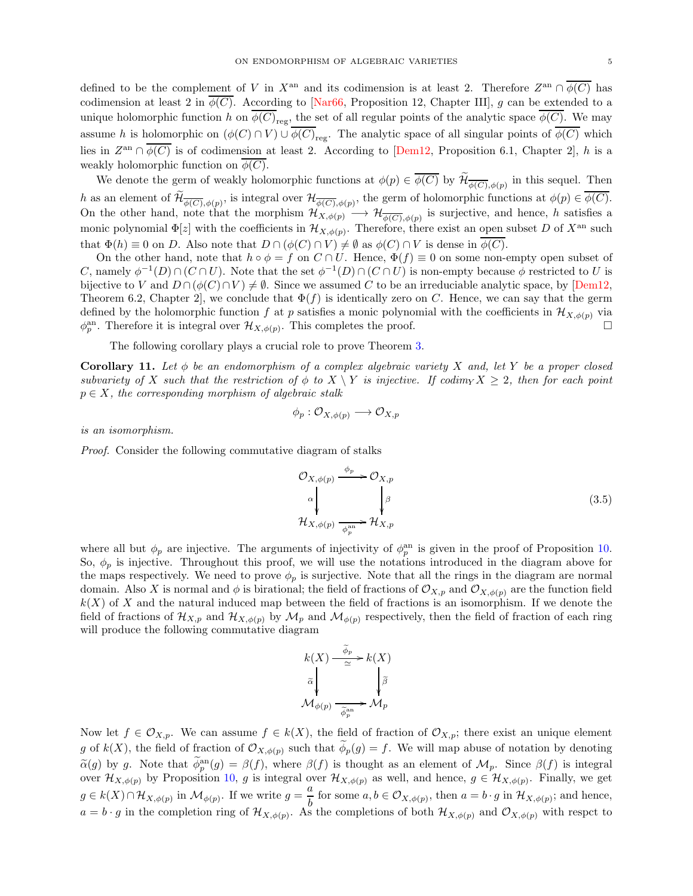defined to be the complement of V in  $X^{\text{an}}$  and its codimension is at least 2. Therefore  $Z^{\text{an}} \cap \overline{\phi(C)}$  has codimension at least 2 in  $\phi(\overline{C})$ . According to [\[Nar66,](#page-5-8) Proposition 12, Chapter III], g can be extended to a unique holomorphic function h on  $\phi(C)_{\text{reg}}$ , the set of all regular points of the analytic space  $\phi(C)$ . We may assume h is holomorphic on  $(\phi(C) \cap V) \cup \phi(C)_{reg}$ . The analytic space of all singular points of  $\phi(C)$  which lies in  $Z^{\text{an}} \cap \overline{\phi(C)}$  is of codimension at least 2. According to  $[\text{Dem}12,$  Proposition 6.1, Chapter 2, h is a weakly holomorphic function on  $\phi(C)$ .

We denote the germ of weakly holomorphic functions at  $\phi(p) \in \overline{\phi(C)}$  by  $\widetilde{\mathcal{H}}_{\overline{\phi(C)}, \phi(p)}$  in this sequel. Then h as an element of  $\widetilde{\mathcal{H}}_{\overline{\phi(C)},\phi(p)}$ , is integral over  $\mathcal{H}_{\overline{\phi(C)},\phi(p)}$ , the germ of holomorphic functions at  $\phi(p) \in \overline{\phi(C)}$ . On the other hand, note that the morphism  $\mathcal{H}_{X,\phi(p)} \to \mathcal{H}_{\overline{\phi(C)},\phi(p)}$  is surjective, and hence, h satisfies a monic polynomial  $\Phi[z]$  with the coefficients in  $\mathcal{H}_{X,\phi(p)}$ . Therefore, there exist an open subset D of  $X^{\text{an}}$  such that  $\Phi(h) \equiv 0$  on D. Also note that  $D \cap (\phi(C) \cap V) \neq \emptyset$  as  $\phi(C) \cap V$  is dense in  $\phi(C)$ .

On the other hand, note that  $h \circ \phi = f$  on  $C \cap U$ . Hence,  $\Phi(f) \equiv 0$  on some non-empty open subset of C, namely  $\phi^{-1}(D) \cap (C \cap U)$ . Note that the set  $\phi^{-1}(D) \cap (C \cap U)$  is non-empty because  $\phi$  restricted to U is bijective to V and  $D \cap (\phi(C) \cap V) \neq \emptyset$ . Since we assumed C to be an irreduciable analytic space, by [\[Dem12,](#page-5-9) Theorem 6.2, Chapter 2, we conclude that  $\Phi(f)$  is identically zero on C. Hence, we can say that the germ defined by the holomorphic function f at p satisfies a monic polynomial with the coefficients in  $\mathcal{H}_{X,\phi(p)}$  via  $\phi_p^{\text{an}}$ . Therefore it is integral over  $\mathcal{H}_{X,\phi(p)}$ . This completes the proof.

The following corollary plays a crucial role to prove Theorem [3.](#page-0-1)

<span id="page-4-0"></span>Corollary 11. *Let* φ *be an endomorphism of a complex algebraic variety* X *and, let* Y *be a proper closed subvariety of* X *such that the restriction of*  $\phi$  *to*  $X \setminus Y$  *is injective. If codim* $\chi \geq 2$ *, then for each point* p ∈ X*, the corresponding morphism of algebraic stalk*

$$
\phi_p: \mathcal{O}_{X, \phi(p)} \longrightarrow \mathcal{O}_{X, p}
$$

*is an isomorphism.*

*Proof.* Consider the following commutative diagram of stalks

$$
\mathcal{O}_{X,\phi(p)} \xrightarrow{\phi_p} \mathcal{O}_{X,p}
$$
\n
$$
\downarrow^{\alpha} \qquad \qquad \downarrow^{\beta} \qquad (3.5)
$$
\n
$$
\mathcal{H}_{X,\phi(p)} \xrightarrow{\phi_p^{\text{an}}} \mathcal{H}_{X,p}
$$

where all but  $\phi_p$  are injective. The arguments of injectivity of  $\phi_p^{\text{an}}$  is given in the proof of Proposition [10.](#page-3-1) So,  $\phi_p$  is injective. Throughout this proof, we will use the notations introduced in the diagram above for the maps respectively. We need to prove  $\phi_p$  is surjective. Note that all the rings in the diagram are normal domain. Also X is normal and  $\phi$  is birational; the field of fractions of  $\mathcal{O}_{X,p}$  and  $\mathcal{O}_{X,\phi(p)}$  are the function field  $k(X)$  of X and the natural induced map between the field of fractions is an isomorphism. If we denote the field of fractions of  $\mathcal{H}_{X,p}$  and  $\mathcal{H}_{X,\phi(p)}$  by  $\mathcal{M}_p$  and  $\mathcal{M}_{\phi(p)}$  respectively, then the field of fraction of each ring will produce the following commutative diagram

$$
\begin{array}{c} k(X) \stackrel{\widetilde{\phi}_p}{\simeq} k(X) \\ \widetilde{\alpha} \\ \mathcal{M}_{\phi(p)} \stackrel{\widetilde{\phi}_p}{\xrightarrow{\widetilde{\phi}_p}} \mathcal{M}_p \end{array}
$$

Now let  $f \in \mathcal{O}_{X,p}$ . We can assume  $f \in k(X)$ , the field of fraction of  $\mathcal{O}_{X,p}$ ; there exist an unique element g of  $k(X)$ , the field of fraction of  $\mathcal{O}_{X,\phi(p)}$  such that  $\phi_p(g) = f$ . We will map abuse of notation by denoting  $\tilde{\alpha}(g)$  by g. Note that  $\tilde{\phi}_p^{\text{an}}(g) = \beta(f)$ , where  $\beta(f)$  is thought as an element of  $\mathcal{M}_p$ . Since  $\beta(f)$  is integral over  $\mathcal{H}_{X,\phi(p)}$  by Proposition [10,](#page-3-1) g is integral over  $\mathcal{H}_{X,\phi(p)}$  as well, and hence,  $g \in \mathcal{H}_{X,\phi(p)}$ . Finally, we get  $g \in k(X) \cap \mathcal{H}_{X, \phi(p)}$  in  $\mathcal{M}_{\phi(p)}$ . If we write  $g = \frac{a}{b}$  $\frac{\infty}{b}$  for some  $a, b \in \mathcal{O}_{X, \phi(p)}$ , then  $a = b \cdot g$  in  $\mathcal{H}_{X, \phi(p)}$ ; and hence,  $a=b\cdot g$  in the completion ring of  $\mathcal{H}_{X,\phi(p)}$ . As the completions of both  $\mathcal{H}_{X,\phi(p)}$  and  $\mathcal{O}_{X,\phi(p)}$  with respect to